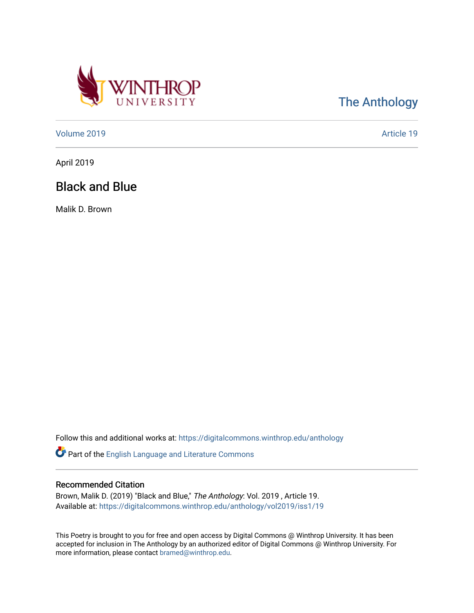

[The Anthology](https://digitalcommons.winthrop.edu/anthology) 

[Volume 2019](https://digitalcommons.winthrop.edu/anthology/vol2019) [Article 19](https://digitalcommons.winthrop.edu/anthology/vol2019/iss1/19) 

April 2019

## Black and Blue

Malik D. Brown

Follow this and additional works at: [https://digitalcommons.winthrop.edu/anthology](https://digitalcommons.winthrop.edu/anthology?utm_source=digitalcommons.winthrop.edu%2Fanthology%2Fvol2019%2Fiss1%2F19&utm_medium=PDF&utm_campaign=PDFCoverPages) 

Part of the [English Language and Literature Commons](http://network.bepress.com/hgg/discipline/455?utm_source=digitalcommons.winthrop.edu%2Fanthology%2Fvol2019%2Fiss1%2F19&utm_medium=PDF&utm_campaign=PDFCoverPages)

## Recommended Citation

Brown, Malik D. (2019) "Black and Blue," The Anthology: Vol. 2019 , Article 19. Available at: [https://digitalcommons.winthrop.edu/anthology/vol2019/iss1/19](https://digitalcommons.winthrop.edu/anthology/vol2019/iss1/19?utm_source=digitalcommons.winthrop.edu%2Fanthology%2Fvol2019%2Fiss1%2F19&utm_medium=PDF&utm_campaign=PDFCoverPages) 

This Poetry is brought to you for free and open access by Digital Commons @ Winthrop University. It has been accepted for inclusion in The Anthology by an authorized editor of Digital Commons @ Winthrop University. For more information, please contact [bramed@winthrop.edu](mailto:bramed@winthrop.edu).